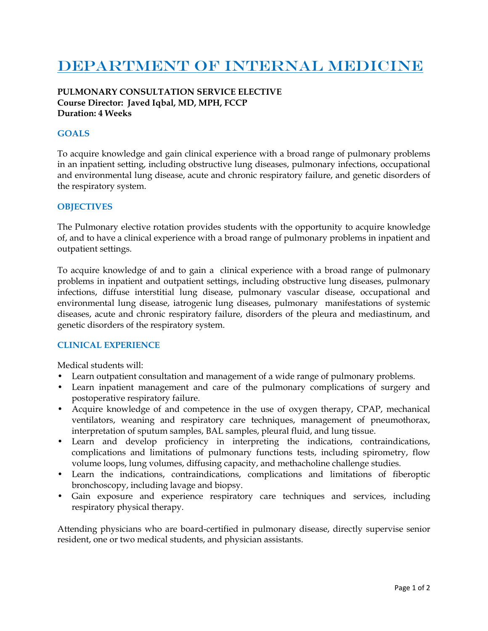# DEPARTMENT OF INTERNAL MEDICINE

### **PULMONARY CONSULTATION SERVICE ELECTIVE Course Director: Javed Iqbal, MD, MPH, FCCP Duration: 4 Weeks**

## **GOALS**

To acquire knowledge and gain clinical experience with a broad range of pulmonary problems in an inpatient setting, including obstructive lung diseases, pulmonary infections, occupational and environmental lung disease, acute and chronic respiratory failure, and genetic disorders of the respiratory system.

#### **OBJECTIVES**

The Pulmonary elective rotation provides students with the opportunity to acquire knowledge of, and to have a clinical experience with a broad range of pulmonary problems in inpatient and outpatient settings.

To acquire knowledge of and to gain a clinical experience with a broad range of pulmonary problems in inpatient and outpatient settings, including obstructive lung diseases, pulmonary infections, diffuse interstitial lung disease, pulmonary vascular disease, occupational and environmental lung disease, iatrogenic lung diseases, pulmonary manifestations of systemic diseases, acute and chronic respiratory failure, disorders of the pleura and mediastinum, and genetic disorders of the respiratory system.

#### **CLINICAL EXPERIENCE**

Medical students will:

- Learn outpatient consultation and management of a wide range of pulmonary problems.
- Learn inpatient management and care of the pulmonary complications of surgery and postoperative respiratory failure.
- Acquire knowledge of and competence in the use of oxygen therapy, CPAP, mechanical ventilators, weaning and respiratory care techniques, management of pneumothorax, interpretation of sputum samples, BAL samples, pleural fluid, and lung tissue.
- Learn and develop proficiency in interpreting the indications, contraindications, complications and limitations of pulmonary functions tests, including spirometry, flow volume loops, lung volumes, diffusing capacity, and methacholine challenge studies.
- Learn the indications, contraindications, complications and limitations of fiberoptic bronchoscopy, including lavage and biopsy.
- Gain exposure and experience respiratory care techniques and services, including respiratory physical therapy.

Attending physicians who are board-certified in pulmonary disease, directly supervise senior resident, one or two medical students, and physician assistants.